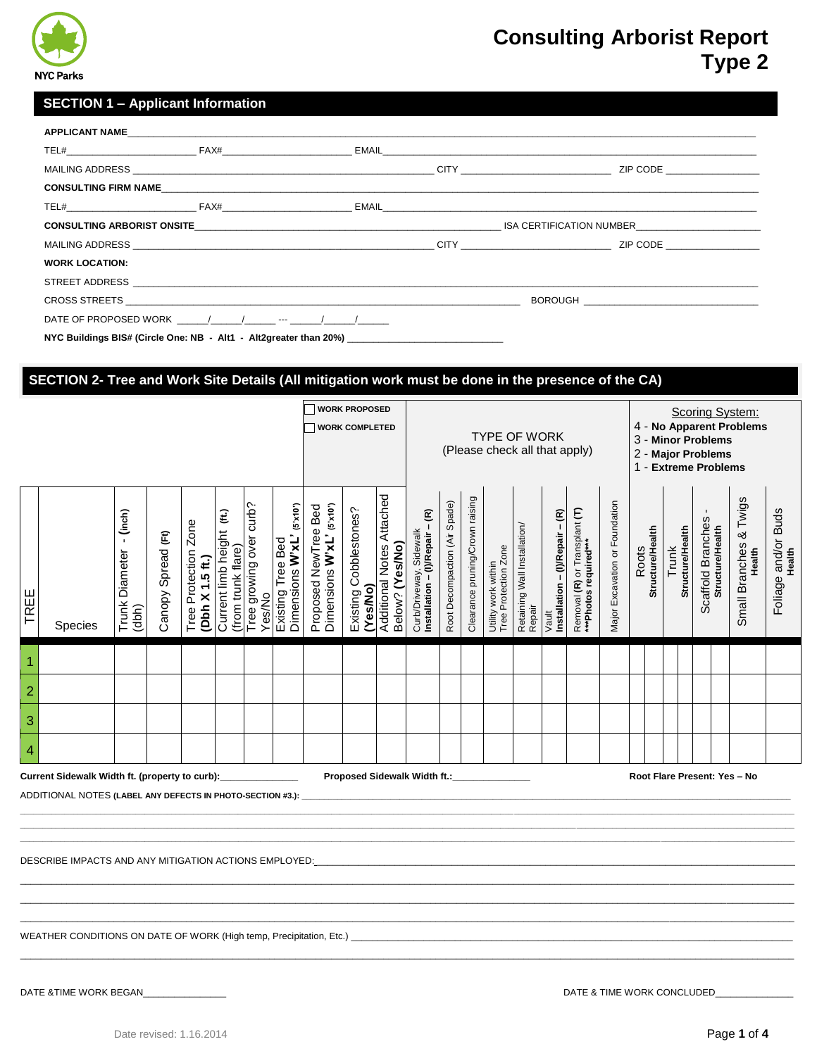

### **SECTION 1 – Applicant Information**

|                       |                                                                                                                                             |  | CONSULTING ARBORIST ONSITE CONSULTING ARBORIST ON STATE OF THE SERVICE OF STATE OF SALES AND THE SERVICE OF STATE OF STATE OF STATE OF STATE OF STATE OF STATE OF STATE OF STATE OF STATE OF STATE OF STATE OF STATE OF STATE |
|-----------------------|---------------------------------------------------------------------------------------------------------------------------------------------|--|-------------------------------------------------------------------------------------------------------------------------------------------------------------------------------------------------------------------------------|
|                       |                                                                                                                                             |  |                                                                                                                                                                                                                               |
| <b>WORK LOCATION:</b> |                                                                                                                                             |  |                                                                                                                                                                                                                               |
|                       |                                                                                                                                             |  |                                                                                                                                                                                                                               |
|                       |                                                                                                                                             |  |                                                                                                                                                                                                                               |
|                       | DATE OF PROPOSED WORK $\left( \begin{array}{cccc} 1 & 1 & 1 \end{array} \right)$ and $\left( \begin{array}{cccc} 1 & 1 \end{array} \right)$ |  |                                                                                                                                                                                                                               |
|                       | NYC Buildings BIS# (Circle One: NB - Alt1 - Alt2greater than 20%)                                                                           |  |                                                                                                                                                                                                                               |

### **H SECTION 2- Tree and Work Site Details (All mitigation work must be done in the presence of the CA)**

|                                                                                                                                                                                                                                    | <b>WORK PROPOSED</b><br><b>WORK COMPLETED</b> |                                            |                    |                                         |                                                 |                                   |                                                                  |                                                 | TYPE OF WORK<br>(Please check all that apply) |                                              |                                                            |                               |                                 |                                             |                                        |                                                   | Scoring System:<br>4 - No Apparent Problems<br>3 - Minor Problems<br>2 - Major Problems<br>1 - Extreme Problems |                                |              |                         |                                  |  |                                       |                                  |                               |
|------------------------------------------------------------------------------------------------------------------------------------------------------------------------------------------------------------------------------------|-----------------------------------------------|--------------------------------------------|--------------------|-----------------------------------------|-------------------------------------------------|-----------------------------------|------------------------------------------------------------------|-------------------------------------------------|-----------------------------------------------|----------------------------------------------|------------------------------------------------------------|-------------------------------|---------------------------------|---------------------------------------------|----------------------------------------|---------------------------------------------------|-----------------------------------------------------------------------------------------------------------------|--------------------------------|--------------|-------------------------|----------------------------------|--|---------------------------------------|----------------------------------|-------------------------------|
| TREE                                                                                                                                                                                                                               | <b>Species</b>                                | - (inch)<br><b>Trunk Diameter</b><br>(dbh) | Canopy Spread (Ft) | Tree Protection Zone<br>(Dbh X 1.5 ft.) | Current limb height (ft.)<br>(from trunk flare) | Tree growing over curb?<br>Yes/No | Existing Tree Bed<br>Dimensions <b>W'xL'</b> (s <sup>x10')</sup> | Proposed NewTree Bed<br>Dimensions W'xL' (sx10) | Existing Cobblestones?<br>(Yes/No)            | Additional Notes Attached<br>Below? (Yes/No) | Curb/Driveway, Sidewalk<br>Installation – (I)/Repair – (R) | Root Decompaction (Air Spade) | Clearance pruning/Crown raising | Utility work within<br>Tree Protection Zone | Retaining Wall Installation/<br>Repair | $-\epsilon$<br>Installation - (I)/Repair<br>Vault | Removal (R) or Transplant (T)<br>***Photos required***                                                          | Major Excavation or Foundation | <b>Roots</b> | <b>Structure/Health</b> | <b>Structure/Health</b><br>Trunk |  | Scaffold Branches<br>Structure/Health | Small Branches & Twigs<br>Health | Foliage and/or Buds<br>Health |
| $\overline{\phantom{a}}$                                                                                                                                                                                                           |                                               |                                            |                    |                                         |                                                 |                                   |                                                                  |                                                 |                                               |                                              |                                                            |                               |                                 |                                             |                                        |                                                   |                                                                                                                 |                                |              |                         |                                  |  |                                       |                                  |                               |
| $\overline{a}$                                                                                                                                                                                                                     |                                               |                                            |                    |                                         |                                                 |                                   |                                                                  |                                                 |                                               |                                              |                                                            |                               |                                 |                                             |                                        |                                                   |                                                                                                                 |                                |              |                         |                                  |  |                                       |                                  |                               |
| $\begin{array}{ c c }\n\hline\n3 \\ \hline\n4\n\end{array}$                                                                                                                                                                        |                                               |                                            |                    |                                         |                                                 |                                   |                                                                  |                                                 |                                               |                                              |                                                            |                               |                                 |                                             |                                        |                                                   |                                                                                                                 |                                |              |                         |                                  |  |                                       |                                  |                               |
|                                                                                                                                                                                                                                    |                                               |                                            |                    |                                         |                                                 |                                   |                                                                  |                                                 |                                               |                                              |                                                            |                               |                                 |                                             |                                        |                                                   |                                                                                                                 |                                |              |                         |                                  |  |                                       |                                  |                               |
| Current Sidewalk Width ft. (property to curb): _______________<br>Proposed Sidewalk Width ft.:_______________<br>Root Flare Present: Yes - No<br>ADDITIONAL NOTES (LABEL ANY DEFECTS IN PHOTO-SECTION #3.): ______________________ |                                               |                                            |                    |                                         |                                                 |                                   |                                                                  |                                                 |                                               |                                              |                                                            |                               |                                 |                                             |                                        |                                                   |                                                                                                                 |                                |              |                         |                                  |  |                                       |                                  |                               |
| DESCRIBE IMPACTS AND ANY MITIGATION ACTIONS EMPLOYED: __________________________                                                                                                                                                   |                                               |                                            |                    |                                         |                                                 |                                   |                                                                  |                                                 |                                               |                                              |                                                            |                               |                                 |                                             |                                        |                                                   |                                                                                                                 |                                |              |                         |                                  |  |                                       |                                  |                               |
| WEATHER CONDITIONS ON DATE OF WORK (High temp, Precipitation, Etc.) _____________                                                                                                                                                  |                                               |                                            |                    |                                         |                                                 |                                   |                                                                  |                                                 |                                               |                                              |                                                            |                               |                                 |                                             |                                        |                                                   |                                                                                                                 |                                |              |                         |                                  |  |                                       |                                  |                               |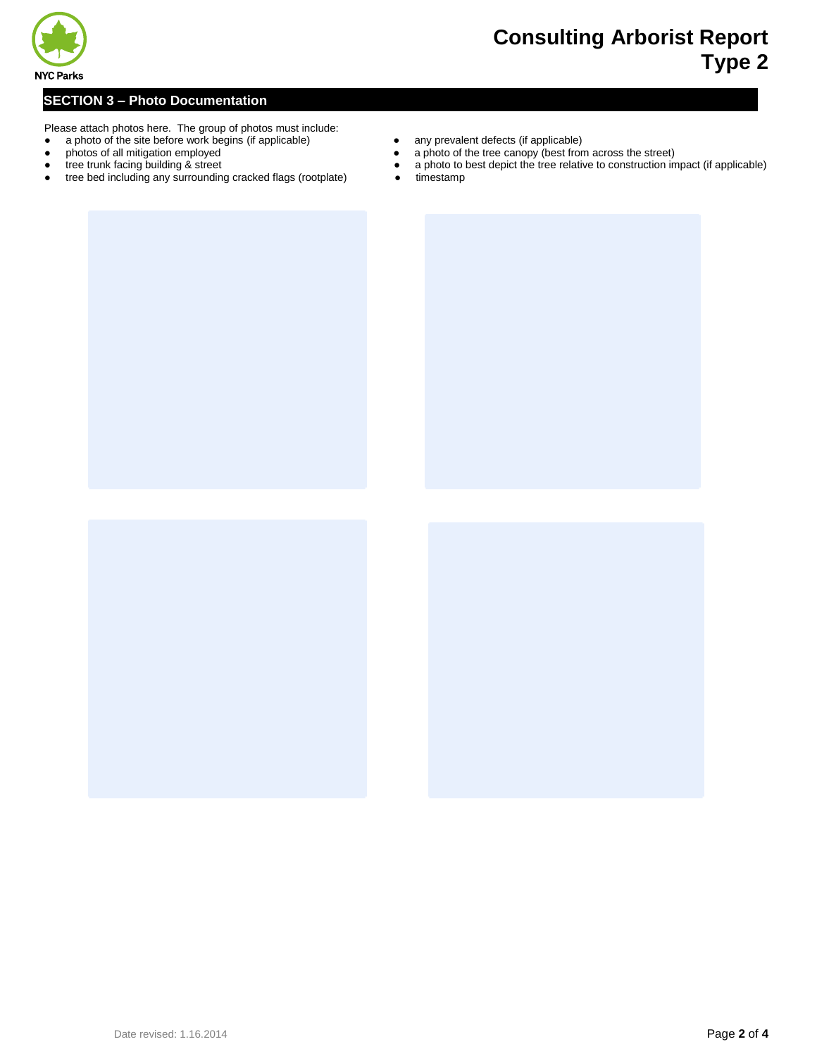

### **SE SECTION 3 – Photo Documentation**

- Please attach photos here. The group of photos must include:
- a photo of the site before work begins (if applicable) any prevalent defects (if applicable) <br>● a photo of the tree canopy (best from
- 
- 
- tree bed including any surrounding cracked flags (rootplate) •
- 
- photos of all mitigation employed <br>• a photo of the tree canopy (best from across the street)
- tree trunk facing building & street <br>● a photo to best depict the tree relative to construction impact (if applicable) <br>● timestamp
	-



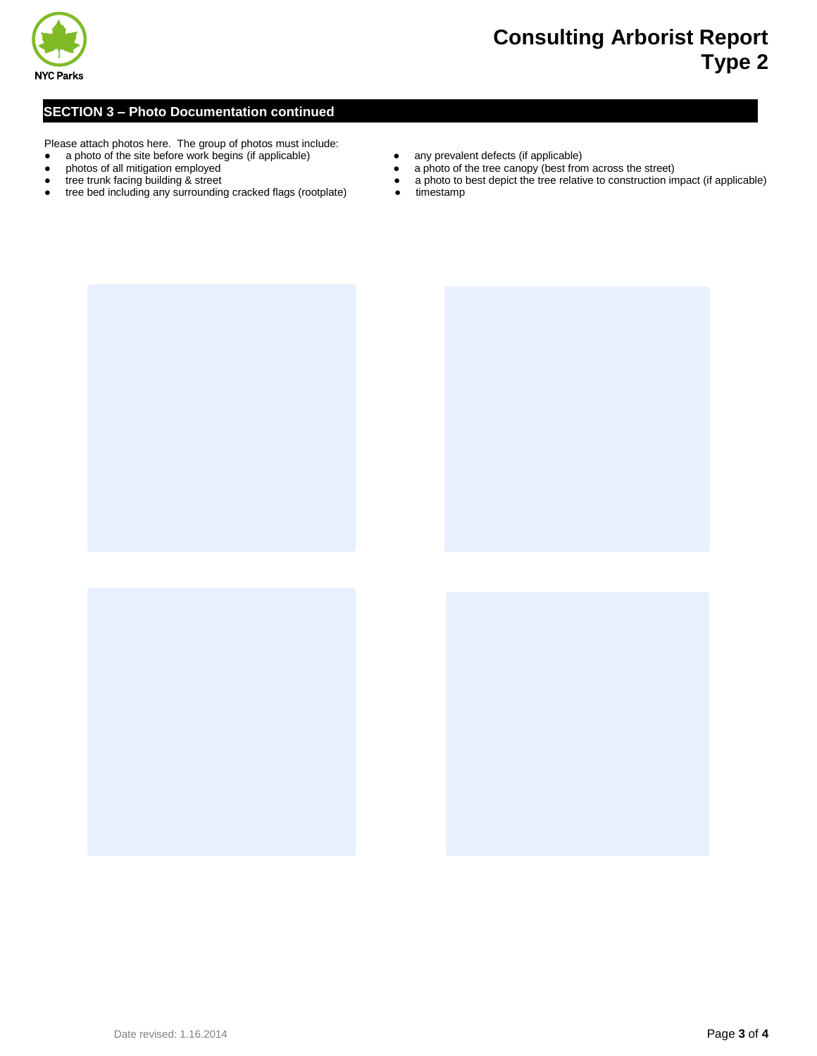

#### **SE SECTION 3 – Photo Documentation continued**

Please attach photos here. The group of photos must include:

- a photo of the site before work begins (if applicable) any prevalent defects (if applicable)
- 
- 
- tree bed including any surrounding cracked flags (rootplate) •
- 
- photos of all mitigation employed **•** a photo of the tree canopy (best from across the street) tree trunk facing building & street **• a** photo to best depict the tree relative to construction in
- tree trunk facing building & street <br>● a photo to best depict the tree relative to construction impact (if applicable)<br>● timestamp
	-